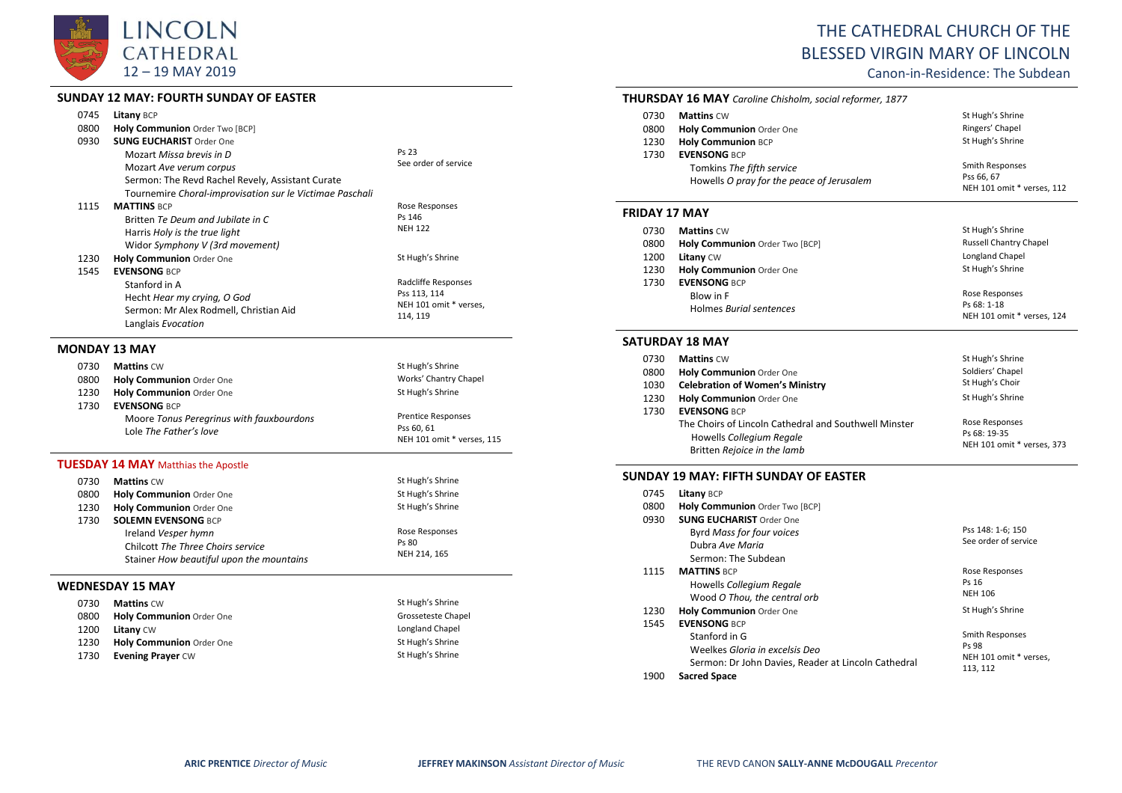

# **SUNDAY 12 MAY: FOURTH SUNDAY OF EASTER**

|      | SUNDAY 12 MAY: FOURTH SUNDAY OF EASTER                   |                            |
|------|----------------------------------------------------------|----------------------------|
| 0745 | Litany BCP                                               |                            |
| 0800 | Holy Communion Order Two [BCP]                           |                            |
| 0930 | <b>SUNG EUCHARIST Order One</b>                          |                            |
|      | Mozart Missa brevis in D                                 | Ps 23                      |
|      | Mozart Ave verum corpus                                  | See order of service       |
|      | Sermon: The Revd Rachel Revely, Assistant Curate         |                            |
|      | Tournemire Choral-improvisation sur le Victimae Paschali |                            |
| 1115 | <b>MATTINS BCP</b>                                       | Rose Responses             |
|      | Britten Te Deum and Jubilate in C                        | Ps 146                     |
|      | Harris Holy is the true light                            | <b>NEH 122</b>             |
|      | Widor Symphony V (3rd movement)                          |                            |
| 1230 | Holy Communion Order One                                 | St Hugh's Shrine           |
| 1545 | <b>EVENSONG BCP</b>                                      |                            |
|      | Stanford in A                                            | Radcliffe Responses        |
|      | Hecht Hear my crying, O God                              | Pss 113, 114               |
|      | Sermon: Mr Alex Rodmell, Christian Aid                   | NEH 101 omit * verses,     |
|      | Langlais Evocation                                       | 114, 119                   |
|      | <b>MONDAY 13 MAY</b>                                     |                            |
| 0730 | <b>Mattins CW</b>                                        | St Hugh's Shrine           |
| 0800 | <b>Holy Communion Order One</b>                          | Works' Chantry Chapel      |
| 1230 | Holy Communion Order One                                 | St Hugh's Shrine           |
| 1730 | <b>EVENSONG BCP</b>                                      |                            |
|      | Moore Tonus Peregrinus with fauxbourdons                 | <b>Prentice Responses</b>  |
|      | Lole The Father's love                                   | Pss 60, 61                 |
|      |                                                          | NEH 101 omit * verses, 115 |

### **TUESDAY 14 MAY** Matthias the Apostle

| 0730 | <b>Mattins CW</b>                        | St Hugh's Shrine |
|------|------------------------------------------|------------------|
| 0800 | Holy Communion Order One                 | St Hugh's Shrine |
| 1230 | Holy Communion Order One                 | St Hugh's Shrine |
| 1730 | <b>SOLEMN EVENSONG BCP</b>               |                  |
|      | Ireland Vesper hymn                      | Rose Responses   |
|      | Chilcott The Three Choirs service        | Ps 80            |
|      | Stainer How beautiful upon the mountains | NEH 214, 165     |
|      |                                          |                  |
|      | -----------------                        |                  |

## **WEDNESDAY 15 MAY**

| 0730 | <b>Mattins CW</b>        | St Hugh's Shrine   |
|------|--------------------------|--------------------|
| 0800 | Holy Communion Order One | Grosseteste Chapel |
| 1200 | <b>Litany CW</b>         | Longland Chapel    |
| 1230 | Holy Communion Order One | St Hugh's Shrine   |
| 1730 | <b>Evening Prayer CW</b> | St Hugh's Shrine   |

# THE CATHEDRAL CHURCH OF THE BLESSED VIRGIN MARY OF LINCOLN

Canon-in-Residence: The Subdean

|                      | <b>THURSDAY 16 MAY</b> Caroline Chisholm, social reformer, 1877                               |                                                             |
|----------------------|-----------------------------------------------------------------------------------------------|-------------------------------------------------------------|
| 0730                 | <b>Mattins CW</b>                                                                             | St Hugh's Shrine                                            |
| 0800                 | <b>Holy Communion Order One</b>                                                               | Ringers' Chapel                                             |
| 1230                 | <b>Holy Communion BCP</b>                                                                     | St Hugh's Shrine                                            |
| 1730                 | <b>EVENSONG BCP</b><br>Tomkins The fifth service<br>Howells O pray for the peace of Jerusalem | Smith Responses<br>Pss 66, 67<br>NEH 101 omit * verses, 112 |
| <b>FRIDAY 17 MAY</b> |                                                                                               |                                                             |
| 0.700                | $0.0 - 0.02 - 0.02$                                                                           | $C + U \cup \neg b' \wedge C$                               |

| 0730 | <b>Mattins CW</b>              | St Hugh's Shrine              |
|------|--------------------------------|-------------------------------|
| 0800 | Holy Communion Order Two [BCP] | <b>Russell Chantry Chapel</b> |
| 1200 | <b>Litany CW</b>               | Longland Chapel               |
| 1230 | Holy Communion Order One       | St Hugh's Shrine              |
| 1730 | <b>EVENSONG BCP</b>            |                               |
|      | Blow in F                      | Rose Responses                |
|      | Holmes Burial sentences        | Ps 68: 1-18                   |
|      |                                | NEH 101 omit * verses, 124    |

#### **SATURDAY 18 MAY**

| 0730 | <b>Mattins CW</b>                                     | St Hugh's Shrine           |
|------|-------------------------------------------------------|----------------------------|
| 0800 | Holy Communion Order One                              | Soldiers' Chapel           |
| 1030 | <b>Celebration of Women's Ministry</b>                | St Hugh's Choir            |
| 1230 | Holy Communion Order One                              | St Hugh's Shrine           |
| 1730 | <b>EVENSONG BCP</b>                                   |                            |
|      | The Choirs of Lincoln Cathedral and Southwell Minster | Rose Responses             |
|      | Howells Collegium Regale                              | Ps 68: 19-35               |
|      | Britten Rejoice in the lamb                           | NEH 101 omit * verses, 373 |

## **SUNDAY 19 MAY: FIFTH SUNDAY OF EASTER**

| 0745 | Litany BCP                                          |                        |
|------|-----------------------------------------------------|------------------------|
| 0800 | Holy Communion Order Two [BCP]                      |                        |
| 0930 | <b>SUNG EUCHARIST Order One</b>                     |                        |
|      | Byrd Mass for four voices                           | Pss 148: 1-6; 150      |
|      | Dubra Ave Maria                                     | See order of service   |
|      | Sermon: The Subdean                                 |                        |
| 1115 | <b>MATTINS BCP</b>                                  | Rose Responses         |
|      | Howells Collegium Regale                            | Ps 16                  |
|      | Wood O Thou, the central orb                        | <b>NEH 106</b>         |
| 1230 | <b>Holy Communion Order One</b>                     | St Hugh's Shrine       |
| 1545 | <b>EVENSONG BCP</b>                                 |                        |
|      | Stanford in G                                       | Smith Responses        |
|      | Weelkes Gloria in excelsis Deo                      | Ps 98                  |
|      | Sermon: Dr John Davies, Reader at Lincoln Cathedral | NEH 101 omit * verses, |
| 1900 | <b>Sacred Space</b>                                 | 113, 112               |